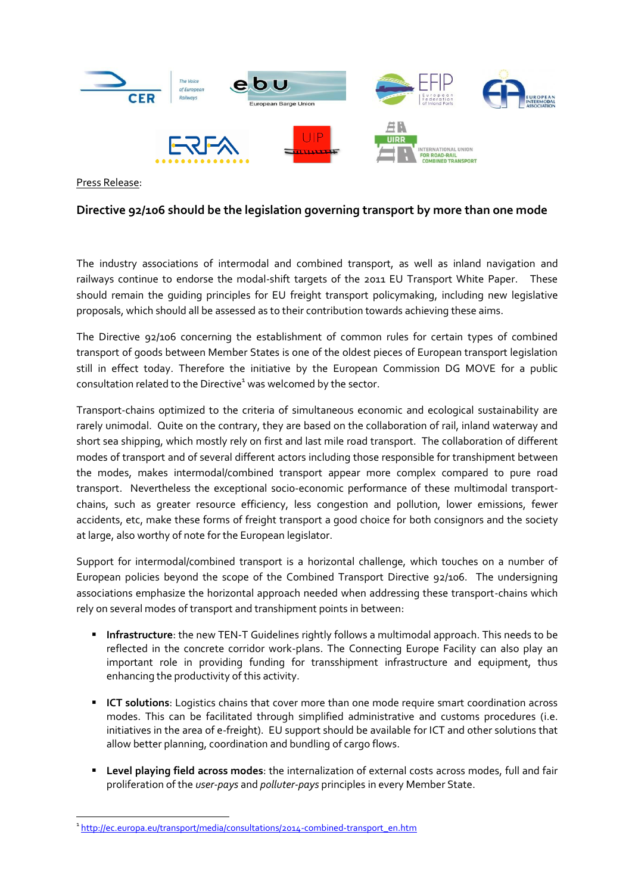

Press Release:

1

## **Directive 92/106 should be the legislation governing transport by more than one mode**

The industry associations of intermodal and combined transport, as well as inland navigation and railways continue to endorse the modal-shift targets of the 2011 EU Transport White Paper. These should remain the guiding principles for EU freight transport policymaking, including new legislative proposals, which should all be assessed as to their contribution towards achieving these aims.

The Directive 92/106 concerning the establishment of common rules for certain types of combined transport of goods between Member States is one of the oldest pieces of European transport legislation still in effect today. Therefore the initiative by the European Commission DG MOVE for a public consultation related to the Directive<sup>1</sup> was welcomed by the sector.

Transport-chains optimized to the criteria of simultaneous economic and ecological sustainability are rarely unimodal. Quite on the contrary, they are based on the collaboration of rail, inland waterway and short sea shipping, which mostly rely on first and last mile road transport. The collaboration of different modes of transport and of several different actors including those responsible for transhipment between the modes, makes intermodal/combined transport appear more complex compared to pure road transport. Nevertheless the exceptional socio-economic performance of these multimodal transportchains, such as greater resource efficiency, less congestion and pollution, lower emissions, fewer accidents, etc, make these forms of freight transport a good choice for both consignors and the society at large, also worthy of note for the European legislator.

Support for intermodal/combined transport is a horizontal challenge, which touches on a number of European policies beyond the scope of the Combined Transport Directive 92/106. The undersigning associations emphasize the horizontal approach needed when addressing these transport-chains which rely on several modes of transport and transhipment points in between:

- **Infrastructure**: the new TEN-T Guidelines rightly follows a multimodal approach. This needs to be reflected in the concrete corridor work-plans. The Connecting Europe Facility can also play an important role in providing funding for transshipment infrastructure and equipment, thus enhancing the productivity of this activity.
- **ICT solutions**: Logistics chains that cover more than one mode require smart coordination across modes. This can be facilitated through simplified administrative and customs procedures (i.e. initiatives in the area of e-freight). EU support should be available for ICT and other solutions that allow better planning, coordination and bundling of cargo flows.
- **Level playing field across modes**: the internalization of external costs across modes, full and fair proliferation of the *user-pays* and *polluter-pays* principles in every Member State.

<sup>&</sup>lt;sup>1</sup>[http://ec.europa.eu/transport/media/consultations/2014-combined-transport\\_en.htm](http://ec.europa.eu/transport/media/consultations/2014-combined-transport_en.htm)